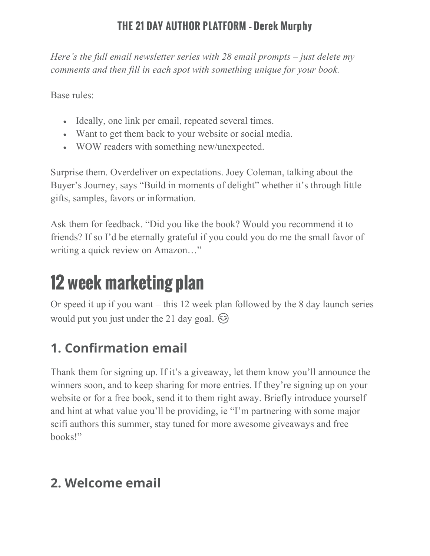*Here's the full email newsletter series with 28 email prompts – just delete my comments and then fill in each spot with something unique for your book.*

Base rules:

- Ideally, one link per email, repeated several times.
- Want to get them back to your website or social media.
- WOW readers with something new/unexpected.

Surprise them. Overdeliver on expectations. Joey Coleman, talking about the Buyer's Journey, says "Build in moments of delight" whether it's through little gifts, samples, favors or information.

Ask them for feedback. "Did you like the book? Would you recommend it to friends? If so I'd be eternally grateful if you could you do me the small favor of writing a quick review on Amazon…"

# 12 week marketing plan

Or speed it up if you want – this 12 week plan followed by the 8 day launch series would put you just under the 21 day goal.  $\odot$ 

# **1. Confirmation email**

Thank them for signing up. If it's a giveaway, let them know you'll announce the winners soon, and to keep sharing for more entries. If they're signing up on your website or for a free book, send it to them right away. Briefly introduce yourself and hint at what value you'll be providing, ie "I'm partnering with some major scifi authors this summer, stay tuned for more awesome giveaways and free books!"

# **2. Welcome email**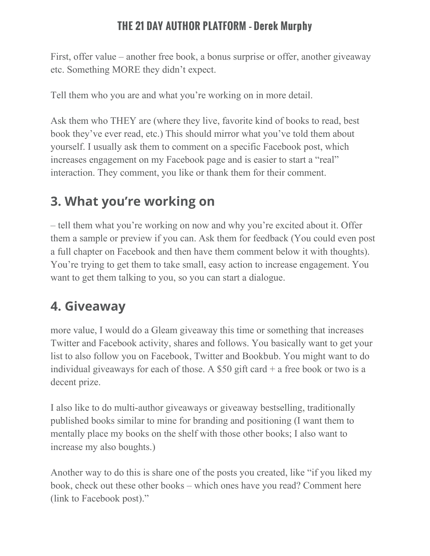First, offer value – another free book, a bonus surprise or offer, another giveaway etc. Something MORE they didn't expect.

Tell them who you are and what you're working on in more detail.

Ask them who THEY are (where they live, favorite kind of books to read, best book they've ever read, etc.) This should mirror what you've told them about yourself. I usually ask them to comment on a specific Facebook post, which increases engagement on my Facebook page and is easier to start a "real" interaction. They comment, you like or thank them for their comment.

# **3. What you're working on**

– tell them what you're working on now and why you're excited about it. Offer them a sample or preview if you can. Ask them for feedback (You could even post a full chapter on Facebook and then have them comment below it with thoughts). You're trying to get them to take small, easy action to increase engagement. You want to get them talking to you, so you can start a dialogue.

# **4. Giveaway**

more value, I would do a Gleam giveaway this time or something that increases Twitter and Facebook activity, shares and follows. You basically want to get your list to also follow you on Facebook, Twitter and Bookbub. You might want to do individual giveaways for each of those. A \$50 gift card  $+$  a free book or two is a decent prize.

I also like to do multi-author giveaways or giveaway bestselling, traditionally published books similar to mine for branding and positioning (I want them to mentally place my books on the shelf with those other books; I also want to increase my also boughts.)

Another way to do this is share one of the posts you created, like "if you liked my book, check out these other books – which ones have you read? Comment here (link to Facebook post)."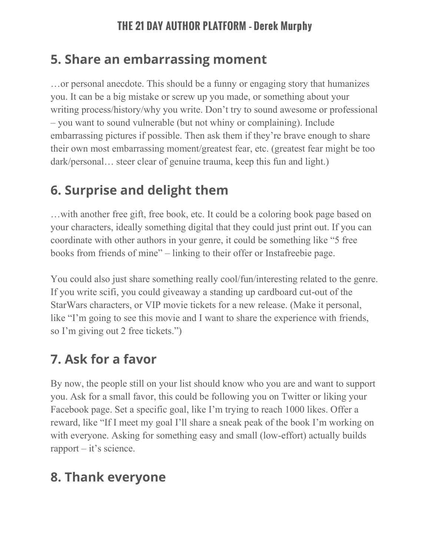## **5. Share an embarrassing moment**

…or personal anecdote. This should be a funny or engaging story that humanizes you. It can be a big mistake or screw up you made, or something about your writing process/history/why you write. Don't try to sound awesome or professional – you want to sound vulnerable (but not whiny or complaining). Include embarrassing pictures if possible. Then ask them if they're brave enough to share their own most embarrassing moment/greatest fear, etc. (greatest fear might be too dark/personal… steer clear of genuine trauma, keep this fun and light.)

## **6. Surprise and delight them**

…with another free gift, free book, etc. It could be a coloring book page based on your characters, ideally something digital that they could just print out. If you can coordinate with other authors in your genre, it could be something like "5 free books from friends of mine" – linking to their offer or Instafreebie page.

You could also just share something really cool/fun/interesting related to the genre. If you write scifi, you could giveaway a standing up cardboard cut-out of the StarWars characters, or VIP movie tickets for a new release. (Make it personal, like "I'm going to see this movie and I want to share the experience with friends, so I'm giving out 2 free tickets.")

## **7. Ask for a favor**

By now, the people still on your list should know who you are and want to support you. Ask for a small favor, this could be following you on Twitter or liking your Facebook page. Set a specific goal, like I'm trying to reach 1000 likes. Offer a reward, like "If I meet my goal I'll share a sneak peak of the book I'm working on with everyone. Asking for something easy and small (low-effort) actually builds rapport – it's science.

## **8. Thank everyone**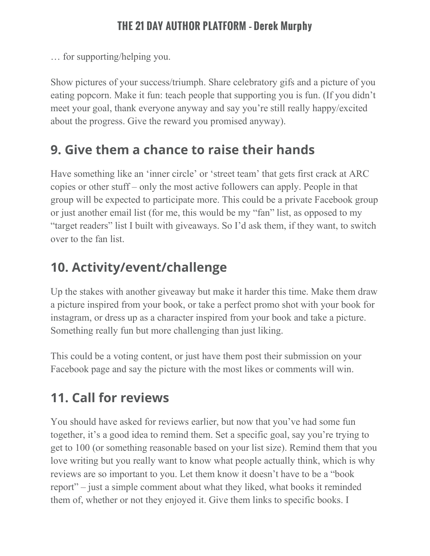… for supporting/helping you.

Show pictures of your success/triumph. Share celebratory gifs and a picture of you eating popcorn. Make it fun: teach people that supporting you is fun. (If you didn't meet your goal, thank everyone anyway and say you're still really happy/excited about the progress. Give the reward you promised anyway).

## **9. Give them a chance to raise their hands**

Have something like an 'inner circle' or 'street team' that gets first crack at ARC copies or other stuff – only the most active followers can apply. People in that group will be expected to participate more. This could be a private Facebook group or just another email list (for me, this would be my "fan" list, as opposed to my "target readers" list I built with giveaways. So I'd ask them, if they want, to switch over to the fan list.

# **10. Activity/event/challenge**

Up the stakes with another giveaway but make it harder this time. Make them draw a picture inspired from your book, or take a perfect promo shot with your book for instagram, or dress up as a character inspired from your book and take a picture. Something really fun but more challenging than just liking.

This could be a voting content, or just have them post their submission on your Facebook page and say the picture with the most likes or comments will win.

# **11. Call for reviews**

You should have asked for reviews earlier, but now that you've had some fun together, it's a good idea to remind them. Set a specific goal, say you're trying to get to 100 (or something reasonable based on your list size). Remind them that you love writing but you really want to know what people actually think, which is why reviews are so important to you. Let them know it doesn't have to be a "book report" – just a simple comment about what they liked, what books it reminded them of, whether or not they enjoyed it. Give them links to specific books. I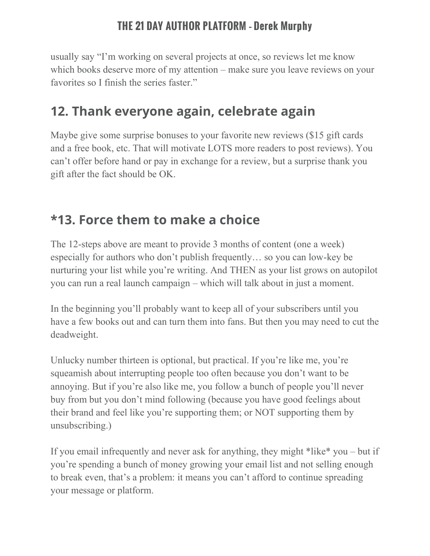usually say "I'm working on several projects at once, so reviews let me know which books deserve more of my attention – make sure you leave reviews on your favorites so I finish the series faster."

## **12. Thank everyone again, celebrate again**

Maybe give some surprise bonuses to your favorite new reviews (\$15 gift cards and a free book, etc. That will motivate LOTS more readers to post reviews). You can't offer before hand or pay in exchange for a review, but a surprise thank you gift after the fact should be OK.

## **\*13. Force them to make a choice**

The 12-steps above are meant to provide 3 months of content (one a week) especially for authors who don't publish frequently… so you can low-key be nurturing your list while you're writing. And THEN as your list grows on autopilot you can run a real launch campaign – which will talk about in just a moment.

In the beginning you'll probably want to keep all of your subscribers until you have a few books out and can turn them into fans. But then you may need to cut the deadweight.

Unlucky number thirteen is optional, but practical. If you're like me, you're squeamish about interrupting people too often because you don't want to be annoying. But if you're also like me, you follow a bunch of people you'll never buy from but you don't mind following (because you have good feelings about their brand and feel like you're supporting them; or NOT supporting them by unsubscribing.)

If you email infrequently and never ask for anything, they might \*like\* you – but if you're spending a bunch of money growing your email list and not selling enough to break even, that's a problem: it means you can't afford to continue spreading your message or platform.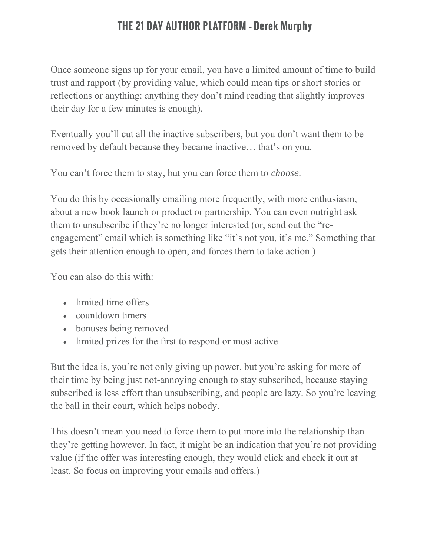Once someone signs up for your email, you have a limited amount of time to build trust and rapport (by providing value, which could mean tips or short stories or reflections or anything: anything they don't mind reading that slightly improves their day for a few minutes is enough).

Eventually you'll cut all the inactive subscribers, but you don't want them to be removed by default because they became inactive… that's on you.

You can't force them to stay, but you can force them to *choose*.

You do this by occasionally emailing more frequently, with more enthusiasm, about a new book launch or product or partnership. You can even outright ask them to unsubscribe if they're no longer interested (or, send out the "reengagement" email which is something like "it's not you, it's me." Something that gets their attention enough to open, and forces them to take action.)

You can also do this with:

- limited time offers
- countdown timers
- bonuses being removed
- limited prizes for the first to respond or most active

But the idea is, you're not only giving up power, but you're asking for more of their time by being just not-annoying enough to stay subscribed, because staying subscribed is less effort than unsubscribing, and people are lazy. So you're leaving the ball in their court, which helps nobody.

This doesn't mean you need to force them to put more into the relationship than they're getting however. In fact, it might be an indication that you're not providing value (if the offer was interesting enough, they would click and check it out at least. So focus on improving your emails and offers.)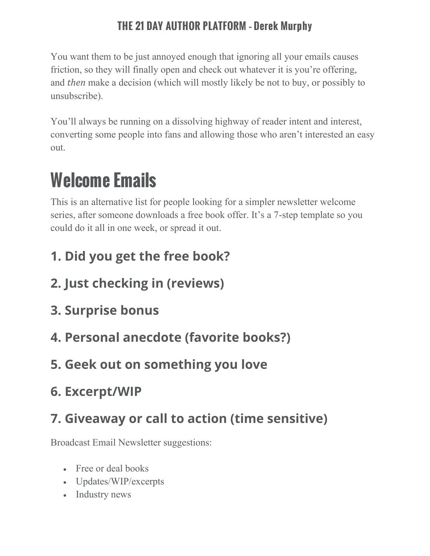You want them to be just annoyed enough that ignoring all your emails causes friction, so they will finally open and check out whatever it is you're offering, and *then* make a decision (which will mostly likely be not to buy, or possibly to unsubscribe).

You'll always be running on a dissolving highway of reader intent and interest, converting some people into fans and allowing those who aren't interested an easy out.

# Welcome Emails

This is an alternative list for people looking for a simpler newsletter welcome series, after someone downloads a free book offer. It's a 7-step template so you could do it all in one week, or spread it out.

- **1. Did you get the free book?**
- **2. Just checking in (reviews)**
- **3. Surprise bonus**
- **4. Personal anecdote (favorite books?)**
- **5. Geek out on something you love**
- **6. Excerpt/WIP**

# **7. Giveaway or call to action (time sensitive)**

Broadcast Email Newsletter suggestions:

- Free or deal books
- Updates/WIP/excerpts
- Industry news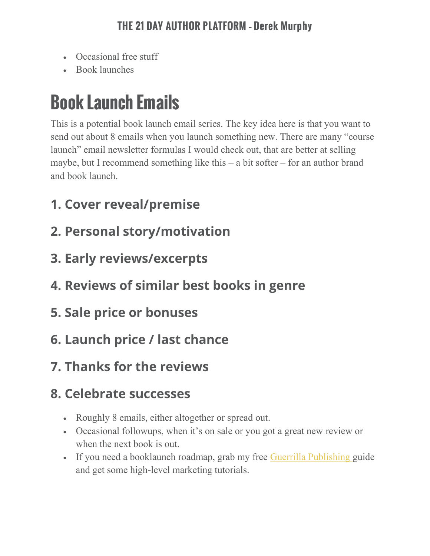- Occasional free stuff
- Book launches

# Book Launch Emails

This is a potential book launch email series. The key idea here is that you want to send out about 8 emails when you launch something new. There are many "course launch" email newsletter formulas I would check out, that are better at selling maybe, but I recommend something like this – a bit softer – for an author brand and book launch.

- **1. Cover reveal/premise**
- **2. Personal story/motivation**
- **3. Early reviews/excerpts**
- **4. Reviews of similar best books in genre**
- **5. Sale price or bonuses**
- **6. Launch price / last chance**
- **7. Thanks for the reviews**

# **8. Celebrate successes**

- Roughly 8 emails, either altogether or spread out.
- Occasional followups, when it's on sale or you got a great new review or when the next book is out.
- If you need a booklaunch roadmap, grab my free Guerrilla [Publishing](https://app.monstercampaigns.com/c/rmpqe9lafuck1yxqs1hr/) guide and get some high-level marketing tutorials.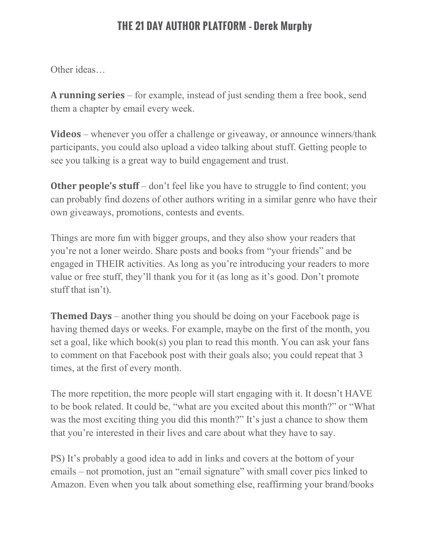Other ideas…

**A running series** – for example, instead of just sending them a free book, send them a chapter by email every week.

**Videos** – whenever you offer a challenge or giveaway, or announce winners/thank participants, you could also upload a video talking about stuff. Getting people to see you talking is a great way to build engagement and trust.

**Other people's stuff** – don't feel like you have to struggle to find content; you can probably find dozens of other authors writing in a similar genre who have their own giveaways, promotions, contests and events.

Things are more fun with bigger groups, and they also show your readers that you're not a loner weirdo. Share posts and books from "your friends" and be engaged in THEIR activities. As long as you're introducing your readers to more value or free stuff, they'll thank you for it (as long as it's good. Don't promote stuff that isn't).

**Themed Days** – another thing you should be doing on your Facebook page is having themed days or weeks. For example, maybe on the first of the month, you set a goal, like which book(s) you plan to read this month. You can ask your fans to comment on that Facebook post with their goals also; you could repeat that 3 times, at the first of every month.

The more repetition, the more people will start engaging with it. It doesn't HAVE to be book related. It could be, "what are you excited about this month?" or "What was the most exciting thing you did this month?" It's just a chance to show them that you're interested in their lives and care about what they have to say.

PS) It's probably a good idea to add in links and covers at the bottom of your emails – not promotion, just an "email signature" with small cover pics linked to Amazon. Even when you talk about something else, reaffirming your brand/books